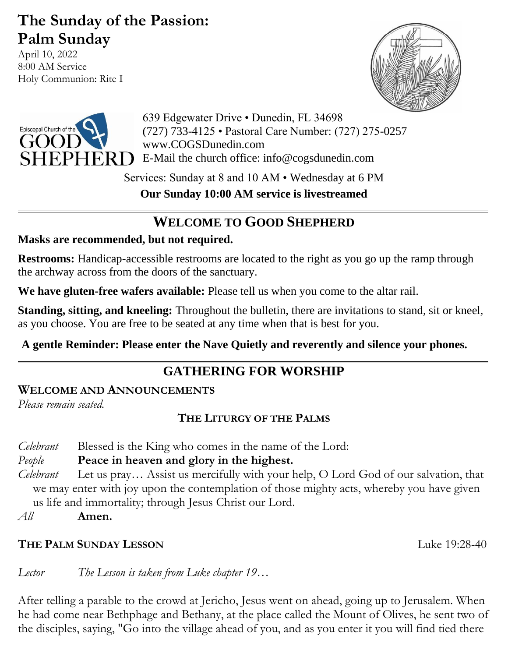# **The Sunday of the Passion: Palm Sunday**

April 10, 2022 8:00 AM Service Holy Communion: Rite I





639 Edgewater Drive • Dunedin, FL 34698 (727) 733-4125 • Pastoral Care Number: (727) 275-0257 www.COGSDunedin.com  $\mathbf{SHRPHERD}$  E-Mail the church office: info@cogsdunedin.com

Services: Sunday at 8 and 10 AM • Wednesday at 6 PM

**Our Sunday 10:00 AM service is livestreamed**

# **WELCOME TO GOOD SHEPHERD**

## **Masks are recommended, but not required.**

**Restrooms:** Handicap-accessible restrooms are located to the right as you go up the ramp through the archway across from the doors of the sanctuary.

**We have gluten-free wafers available:** Please tell us when you come to the altar rail.

**Standing, sitting, and kneeling:** Throughout the bulletin, there are invitations to stand, sit or kneel, as you choose. You are free to be seated at any time when that is best for you.

# **A gentle Reminder: Please enter the Nave Quietly and reverently and silence your phones.**

# **GATHERING FOR WORSHIP**

# **WELCOME AND ANNOUNCEMENTS**

*Please remain seated.*

# **THE LITURGY OF THE PALMS**

*Celebrant* Blessed is the King who comes in the name of the Lord:

*People* **Peace in heaven and glory in the highest.**

*Celebrant* Let us pray… Assist us mercifully with your help, O Lord God of our salvation, that we may enter with joy upon the contemplation of those mighty acts, whereby you have given us life and immortality; through Jesus Christ our Lord.

*All* **Amen.**

# **THE PALM SUNDAY LESSON** LUKE 19:28-40

*Lector The Lesson is taken from Luke chapter 19…*

After telling a parable to the crowd at Jericho, Jesus went on ahead, going up to Jerusalem. When he had come near Bethphage and Bethany, at the place called the Mount of Olives, he sent two of the disciples, saying, "Go into the village ahead of you, and as you enter it you will find tied there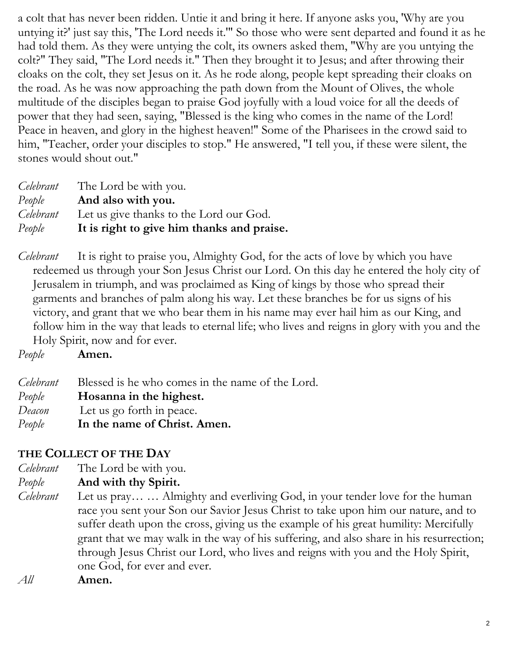a colt that has never been ridden. Untie it and bring it here. If anyone asks you, 'Why are you untying it?' just say this, 'The Lord needs it.'" So those who were sent departed and found it as he had told them. As they were untying the colt, its owners asked them, "Why are you untying the colt?" They said, "The Lord needs it." Then they brought it to Jesus; and after throwing their cloaks on the colt, they set Jesus on it. As he rode along, people kept spreading their cloaks on the road. As he was now approaching the path down from the Mount of Olives, the whole multitude of the disciples began to praise God joyfully with a loud voice for all the deeds of power that they had seen, saying, "Blessed is the king who comes in the name of the Lord! Peace in heaven, and glory in the highest heaven!" Some of the Pharisees in the crowd said to him, "Teacher, order your disciples to stop." He answered, "I tell you, if these were silent, the stones would shout out."

| Celebrant | The Lord be with you.                      |
|-----------|--------------------------------------------|
| People    | And also with you.                         |
| Celebrant | Let us give thanks to the Lord our God.    |
| People    | It is right to give him thanks and praise. |

*Celebrant* It is right to praise you, Almighty God, for the acts of love by which you have redeemed us through your Son Jesus Christ our Lord. On this day he entered the holy city of Jerusalem in triumph, and was proclaimed as King of kings by those who spread their garments and branches of palm along his way. Let these branches be for us signs of his victory, and grant that we who bear them in his name may ever hail him as our King, and follow him in the way that leads to eternal life; who lives and reigns in glory with you and the Holy Spirit, now and for ever.

| People | Amen. |
|--------|-------|
|        |       |

*Celebrant* Blessed is he who comes in the name of the Lord.

- *People* **Hosanna in the highest.**
- *Deacon* Let us go forth in peace.
- *People* **In the name of Christ. Amen.**

# **THE COLLECT OF THE DAY**

- *Celebrant* The Lord be with you.
- *People* **And with thy Spirit.**
- *Celebrant* Let us pray… … Almighty and everliving God, in your tender love for the human race you sent your Son our Savior Jesus Christ to take upon him our nature, and to suffer death upon the cross, giving us the example of his great humility: Mercifully grant that we may walk in the way of his suffering, and also share in his resurrection; through Jesus Christ our Lord, who lives and reigns with you and the Holy Spirit, one God, for ever and ever.
- *All* **Amen.**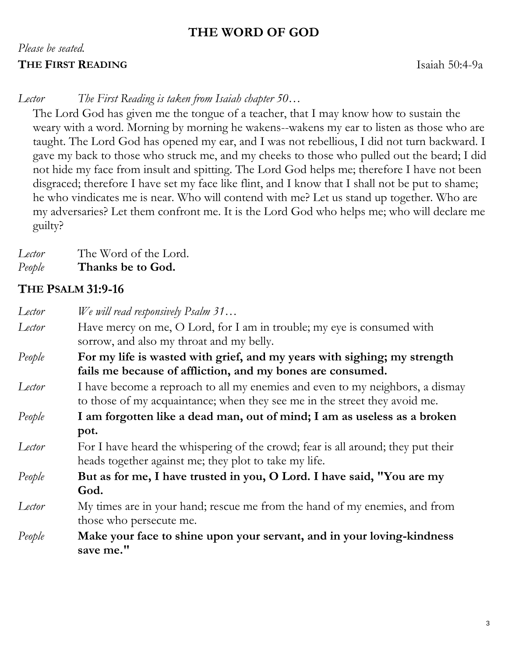# **THE WORD OF GOD**

#### *Please be seated.* **THE FIRST READING** Isaiah 50:4-9a

*Lector The First Reading is taken from Isaiah chapter 50…*

The Lord God has given me the tongue of a teacher, that I may know how to sustain the weary with a word. Morning by morning he wakens--wakens my ear to listen as those who are taught. The Lord God has opened my ear, and I was not rebellious, I did not turn backward. I gave my back to those who struck me, and my cheeks to those who pulled out the beard; I did not hide my face from insult and spitting. The Lord God helps me; therefore I have not been disgraced; therefore I have set my face like flint, and I know that I shall not be put to shame; he who vindicates me is near. Who will contend with me? Let us stand up together. Who are my adversaries? Let them confront me. It is the Lord God who helps me; who will declare me guilty?

*Lector* The Word of the Lord.

*People* **Thanks be to God.**

#### **THE PSALM 31:9-16**

| Lector | We will read responsively Psalm 31                                                                                                                          |  |
|--------|-------------------------------------------------------------------------------------------------------------------------------------------------------------|--|
| Lector | Have mercy on me, O Lord, for I am in trouble; my eye is consumed with<br>sorrow, and also my throat and my belly.                                          |  |
| People | For my life is wasted with grief, and my years with sighing; my strength<br>fails me because of affliction, and my bones are consumed.                      |  |
| Lector | I have become a reproach to all my enemies and even to my neighbors, a dismay<br>to those of my acquaintance; when they see me in the street they avoid me. |  |
| People | I am forgotten like a dead man, out of mind; I am as useless as a broken                                                                                    |  |
|        | pot.                                                                                                                                                        |  |
| Lector | For I have heard the whispering of the crowd; fear is all around; they put their<br>heads together against me; they plot to take my life.                   |  |
| People | But as for me, I have trusted in you, O Lord. I have said, "You are my                                                                                      |  |
|        | God.                                                                                                                                                        |  |
| Lector | My times are in your hand; rescue me from the hand of my enemies, and from<br>those who persecute me.                                                       |  |
| People | Make your face to shine upon your servant, and in your loving-kindness<br>save me."                                                                         |  |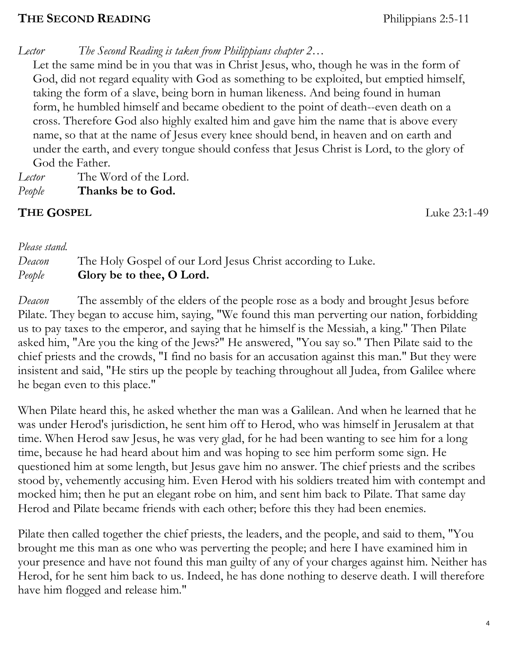#### **THE SECOND READING** Philippians 2:5-11

*Lector The Second Reading is taken from Philippians chapter 2…*

Let the same mind be in you that was in Christ Jesus, who, though he was in the form of God, did not regard equality with God as something to be exploited, but emptied himself, taking the form of a slave, being born in human likeness. And being found in human form, he humbled himself and became obedient to the point of death--even death on a cross. Therefore God also highly exalted him and gave him the name that is above every name, so that at the name of Jesus every knee should bend, in heaven and on earth and under the earth, and every tongue should confess that Jesus Christ is Lord, to the glory of God the Father.

*Lector* The Word of the Lord. *People* **Thanks be to God.**

#### **THE GOSPEL** Luke 23:1-49

#### *Please stand.*

*Deacon* The Holy Gospel of our Lord Jesus Christ according to Luke. *People* **Glory be to thee, O Lord.** 

*Deacon* The assembly of the elders of the people rose as a body and brought Jesus before Pilate. They began to accuse him, saying, "We found this man perverting our nation, forbidding us to pay taxes to the emperor, and saying that he himself is the Messiah, a king." Then Pilate asked him, "Are you the king of the Jews?" He answered, "You say so." Then Pilate said to the chief priests and the crowds, "I find no basis for an accusation against this man." But they were insistent and said, "He stirs up the people by teaching throughout all Judea, from Galilee where he began even to this place."

When Pilate heard this, he asked whether the man was a Galilean. And when he learned that he was under Herod's jurisdiction, he sent him off to Herod, who was himself in Jerusalem at that time. When Herod saw Jesus, he was very glad, for he had been wanting to see him for a long time, because he had heard about him and was hoping to see him perform some sign. He questioned him at some length, but Jesus gave him no answer. The chief priests and the scribes stood by, vehemently accusing him. Even Herod with his soldiers treated him with contempt and mocked him; then he put an elegant robe on him, and sent him back to Pilate. That same day Herod and Pilate became friends with each other; before this they had been enemies.

Pilate then called together the chief priests, the leaders, and the people, and said to them, "You brought me this man as one who was perverting the people; and here I have examined him in your presence and have not found this man guilty of any of your charges against him. Neither has Herod, for he sent him back to us. Indeed, he has done nothing to deserve death. I will therefore have him flogged and release him."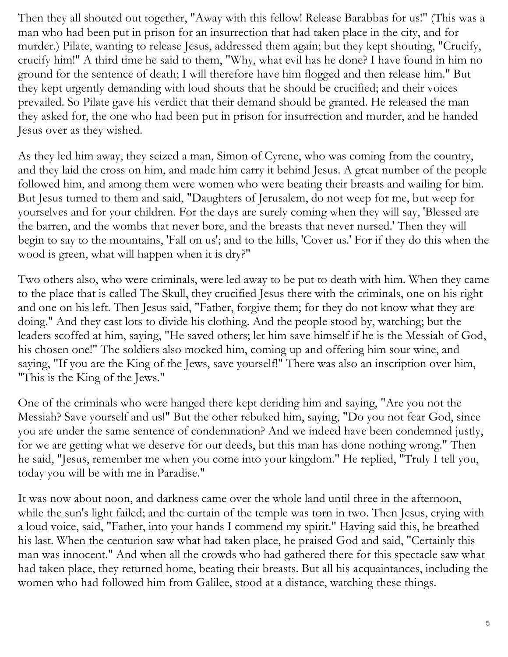Then they all shouted out together, "Away with this fellow! Release Barabbas for us!" (This was a man who had been put in prison for an insurrection that had taken place in the city, and for murder.) Pilate, wanting to release Jesus, addressed them again; but they kept shouting, "Crucify, crucify him!" A third time he said to them, "Why, what evil has he done? I have found in him no ground for the sentence of death; I will therefore have him flogged and then release him." But they kept urgently demanding with loud shouts that he should be crucified; and their voices prevailed. So Pilate gave his verdict that their demand should be granted. He released the man they asked for, the one who had been put in prison for insurrection and murder, and he handed Jesus over as they wished.

As they led him away, they seized a man, Simon of Cyrene, who was coming from the country, and they laid the cross on him, and made him carry it behind Jesus. A great number of the people followed him, and among them were women who were beating their breasts and wailing for him. But Jesus turned to them and said, "Daughters of Jerusalem, do not weep for me, but weep for yourselves and for your children. For the days are surely coming when they will say, 'Blessed are the barren, and the wombs that never bore, and the breasts that never nursed.' Then they will begin to say to the mountains, 'Fall on us'; and to the hills, 'Cover us.' For if they do this when the wood is green, what will happen when it is dry?"

Two others also, who were criminals, were led away to be put to death with him. When they came to the place that is called The Skull, they crucified Jesus there with the criminals, one on his right and one on his left. Then Jesus said, "Father, forgive them; for they do not know what they are doing." And they cast lots to divide his clothing. And the people stood by, watching; but the leaders scoffed at him, saying, "He saved others; let him save himself if he is the Messiah of God, his chosen one!" The soldiers also mocked him, coming up and offering him sour wine, and saying, "If you are the King of the Jews, save yourself!" There was also an inscription over him, "This is the King of the Jews."

One of the criminals who were hanged there kept deriding him and saying, "Are you not the Messiah? Save yourself and us!" But the other rebuked him, saying, "Do you not fear God, since you are under the same sentence of condemnation? And we indeed have been condemned justly, for we are getting what we deserve for our deeds, but this man has done nothing wrong." Then he said, "Jesus, remember me when you come into your kingdom." He replied, "Truly I tell you, today you will be with me in Paradise."

It was now about noon, and darkness came over the whole land until three in the afternoon, while the sun's light failed; and the curtain of the temple was torn in two. Then Jesus, crying with a loud voice, said, "Father, into your hands I commend my spirit." Having said this, he breathed his last. When the centurion saw what had taken place, he praised God and said, "Certainly this man was innocent." And when all the crowds who had gathered there for this spectacle saw what had taken place, they returned home, beating their breasts. But all his acquaintances, including the women who had followed him from Galilee, stood at a distance, watching these things.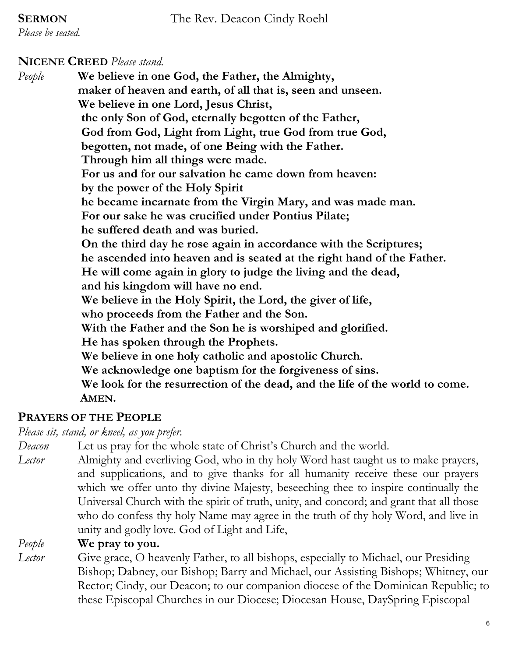**SERMON** The Rev. Deacon Cindy Roehl

*Please be seated.*

#### **NICENE CREED** *Please stand.*

*People* **We believe in one God, the Father, the Almighty, maker of heaven and earth, of all that is, seen and unseen. We believe in one Lord, Jesus Christ, the only Son of God, eternally begotten of the Father, God from God, Light from Light, true God from true God, begotten, not made, of one Being with the Father. Through him all things were made. For us and for our salvation he came down from heaven: by the power of the Holy Spirit he became incarnate from the Virgin Mary, and was made man. For our sake he was crucified under Pontius Pilate; he suffered death and was buried. On the third day he rose again in accordance with the Scriptures; he ascended into heaven and is seated at the right hand of the Father. He will come again in glory to judge the living and the dead, and his kingdom will have no end. We believe in the Holy Spirit, the Lord, the giver of life, who proceeds from the Father and the Son. With the Father and the Son he is worshiped and glorified. He has spoken through the Prophets. We believe in one holy catholic and apostolic Church. We acknowledge one baptism for the forgiveness of sins. We look for the resurrection of the dead, and the life of the world to come. AMEN.**

#### **PRAYERS OF THE PEOPLE**

*Please sit, stand, or kneel, as you prefer.*

*Deacon* Let us pray for the whole state of Christ's Church and the world.

*Lector* Almighty and everliving God, who in thy holy Word hast taught us to make prayers, and supplications, and to give thanks for all humanity receive these our prayers which we offer unto thy divine Majesty, beseeching thee to inspire continually the Universal Church with the spirit of truth, unity, and concord; and grant that all those who do confess thy holy Name may agree in the truth of thy holy Word, and live in unity and godly love. God of Light and Life,

#### *People* **We pray to you.**

*Lector* Give grace, O heavenly Father, to all bishops, especially to Michael, our Presiding Bishop; Dabney, our Bishop; Barry and Michael, our Assisting Bishops; Whitney, our Rector; Cindy, our Deacon; to our companion diocese of the Dominican Republic; to these Episcopal Churches in our Diocese; Diocesan House, DaySpring Episcopal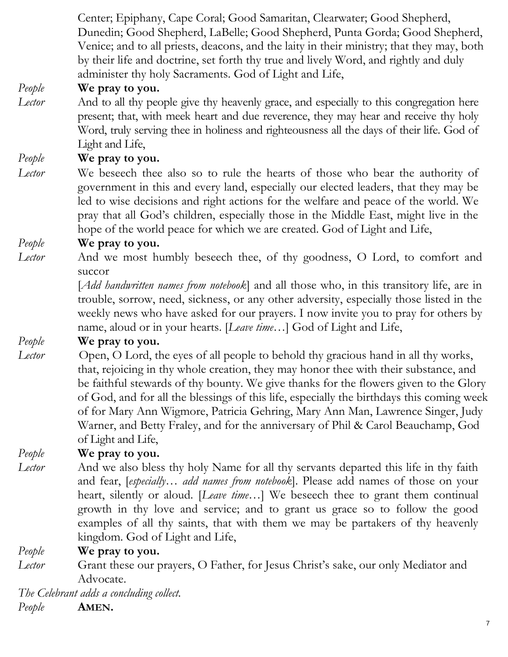Center; Epiphany, Cape Coral; Good Samaritan, Clearwater; Good Shepherd, Dunedin; Good Shepherd, LaBelle; Good Shepherd, Punta Gorda; Good Shepherd, Venice; and to all priests, deacons, and the laity in their ministry; that they may, both by their life and doctrine, set forth thy true and lively Word, and rightly and duly administer thy holy Sacraments. God of Light and Life,

# *People* **We pray to you.**

*Lector* And to all thy people give thy heavenly grace, and especially to this congregation here present; that, with meek heart and due reverence, they may hear and receive thy holy Word, truly serving thee in holiness and righteousness all the days of their life. God of Light and Life,

*People* **We pray to you.**

*Lector* We beseech thee also so to rule the hearts of those who bear the authority of government in this and every land, especially our elected leaders, that they may be led to wise decisions and right actions for the welfare and peace of the world. We pray that all God's children, especially those in the Middle East, might live in the hope of the world peace for which we are created. God of Light and Life,

## *People* **We pray to you.**

*Lector* And we most humbly beseech thee, of thy goodness, O Lord, to comfort and succor

[*Add handwritten names from notebook*] and all those who, in this transitory life, are in trouble, sorrow, need, sickness, or any other adversity, especially those listed in the weekly news who have asked for our prayers. I now invite you to pray for others by name, aloud or in your hearts. [*Leave time…*] God of Light and Life,

## *People* **We pray to you.**

*Lector* Open, O Lord, the eyes of all people to behold thy gracious hand in all thy works, that, rejoicing in thy whole creation, they may honor thee with their substance, and be faithful stewards of thy bounty. We give thanks for the flowers given to the Glory of God, and for all the blessings of this life, especially the birthdays this coming week of for Mary Ann Wigmore, Patricia Gehring, Mary Ann Man, Lawrence Singer, Judy Warner, and Betty Fraley, and for the anniversary of Phil & Carol Beauchamp, God of Light and Life,

## *People* **We pray to you.**

*Lector* And we also bless thy holy Name for all thy servants departed this life in thy faith and fear, [*especially… add names from notebook*]. Please add names of those on your heart, silently or aloud. [*Leave time…*] We beseech thee to grant them continual growth in thy love and service; and to grant us grace so to follow the good examples of all thy saints, that with them we may be partakers of thy heavenly kingdom. God of Light and Life,

## *People* **We pray to you.**

*Lector* Grant these our prayers, O Father, for Jesus Christ's sake, our only Mediator and Advocate.

*The Celebrant adds a concluding collect. People* **AMEN.**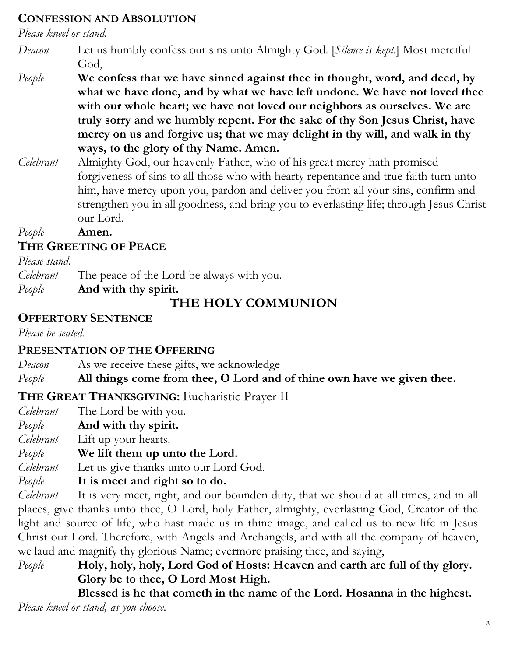#### **CONFESSION AND ABSOLUTION**

*Please kneel or stand.*

- *Deacon* Let us humbly confess our sins unto Almighty God. [*Silence is kept.*] Most merciful God,
- *People* **We confess that we have sinned against thee in thought, word, and deed, by what we have done, and by what we have left undone. We have not loved thee with our whole heart; we have not loved our neighbors as ourselves. We are truly sorry and we humbly repent. For the sake of thy Son Jesus Christ, have mercy on us and forgive us; that we may delight in thy will, and walk in thy ways, to the glory of thy Name. Amen.**
- *Celebrant* Almighty God, our heavenly Father, who of his great mercy hath promised forgiveness of sins to all those who with hearty repentance and true faith turn unto him, have mercy upon you, pardon and deliver you from all your sins, confirm and strengthen you in all goodness, and bring you to everlasting life; through Jesus Christ our Lord.

*People* **Amen.**

# **THE GREETING OF PEACE**

- *Please stand.*
- *Celebrant* The peace of the Lord be always with you.

*People* **And with thy spirit.**

# **THE HOLY COMMUNION**

## **OFFERTORY SENTENCE**

*Please be seated.*

# **PRESENTATION OF THE OFFERING**

*Deacon* As we receive these gifts, we acknowledge

*People* **All things come from thee, O Lord and of thine own have we given thee.**

# **THE GREAT THANKSGIVING:** Eucharistic Prayer II

- *Celebrant* The Lord be with you.
- *People* **And with thy spirit.**

*Celebrant* Lift up your hearts.

*People* **We lift them up unto the Lord.**

*Celebrant* Let us give thanks unto our Lord God.

*People* **It is meet and right so to do.**

*Celebrant* It is very meet, right, and our bounden duty, that we should at all times, and in all places, give thanks unto thee, O Lord, holy Father, almighty, everlasting God, Creator of the light and source of life, who hast made us in thine image, and called us to new life in Jesus Christ our Lord. Therefore, with Angels and Archangels, and with all the company of heaven, we laud and magnify thy glorious Name; evermore praising thee, and saying,

*People* **Holy, holy, holy, Lord God of Hosts: Heaven and earth are full of thy glory. Glory be to thee, O Lord Most High.** 

**Blessed is he that cometh in the name of the Lord. Hosanna in the highest.** *Please kneel or stand, as you choose.*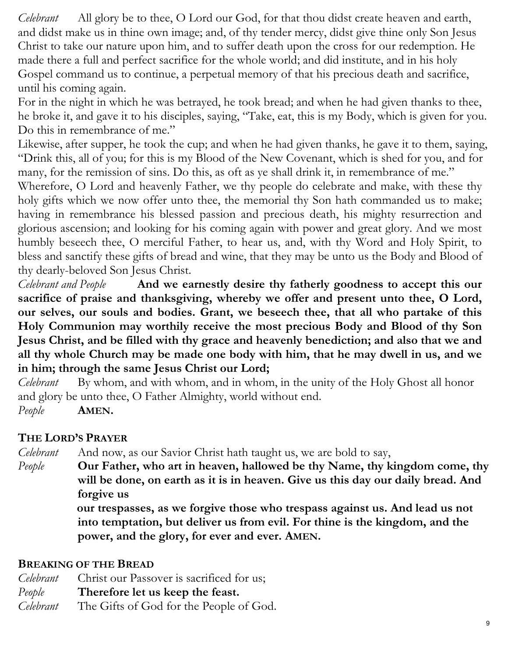*Celebrant* All glory be to thee, O Lord our God, for that thou didst create heaven and earth, and didst make us in thine own image; and, of thy tender mercy, didst give thine only Son Jesus Christ to take our nature upon him, and to suffer death upon the cross for our redemption. He made there a full and perfect sacrifice for the whole world; and did institute, and in his holy Gospel command us to continue, a perpetual memory of that his precious death and sacrifice, until his coming again.

For in the night in which he was betrayed, he took bread; and when he had given thanks to thee, he broke it, and gave it to his disciples, saying, "Take, eat, this is my Body, which is given for you. Do this in remembrance of me."

Likewise, after supper, he took the cup; and when he had given thanks, he gave it to them, saying, "Drink this, all of you; for this is my Blood of the New Covenant, which is shed for you, and for many, for the remission of sins. Do this, as oft as ye shall drink it, in remembrance of me."

Wherefore, O Lord and heavenly Father, we thy people do celebrate and make, with these thy holy gifts which we now offer unto thee, the memorial thy Son hath commanded us to make; having in remembrance his blessed passion and precious death, his mighty resurrection and glorious ascension; and looking for his coming again with power and great glory. And we most humbly beseech thee, O merciful Father, to hear us, and, with thy Word and Holy Spirit, to bless and sanctify these gifts of bread and wine, that they may be unto us the Body and Blood of thy dearly-beloved Son Jesus Christ.

*Celebrant and People* **And we earnestly desire thy fatherly goodness to accept this our sacrifice of praise and thanksgiving, whereby we offer and present unto thee, O Lord, our selves, our souls and bodies. Grant, we beseech thee, that all who partake of this Holy Communion may worthily receive the most precious Body and Blood of thy Son Jesus Christ, and be filled with thy grace and heavenly benediction; and also that we and all thy whole Church may be made one body with him, that he may dwell in us, and we in him; through the same Jesus Christ our Lord;** 

*Celebrant* By whom, and with whom, and in whom, in the unity of the Holy Ghost all honor and glory be unto thee, O Father Almighty, world without end. *People* **AMEN.**

## **THE LORD'S PRAYER**

*Celebrant* And now, as our Savior Christ hath taught us, we are bold to say,

*People* **Our Father, who art in heaven, hallowed be thy Name, thy kingdom come, thy will be done, on earth as it is in heaven. Give us this day our daily bread. And forgive us**

> **our trespasses, as we forgive those who trespass against us. And lead us not into temptation, but deliver us from evil. For thine is the kingdom, and the power, and the glory, for ever and ever. AMEN.**

#### **BREAKING OF THE BREAD**

*Celebrant* Christ our Passover is sacrificed for us;

- *People* **Therefore let us keep the feast.**
- *Celebrant* The Gifts of God for the People of God.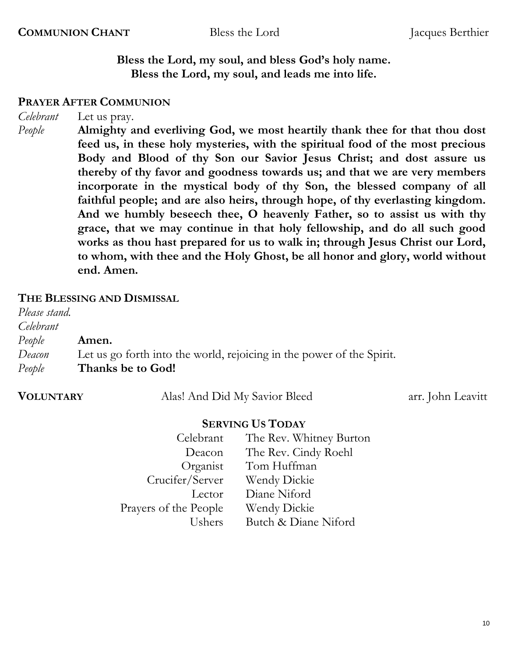**Bless the Lord, my soul, and bless God's holy name. Bless the Lord, my soul, and leads me into life.**

#### **PRAYER AFTER COMMUNION**

*Celebrant* Let us pray.

*People* **Almighty and everliving God, we most heartily thank thee for that thou dost feed us, in these holy mysteries, with the spiritual food of the most precious Body and Blood of thy Son our Savior Jesus Christ; and dost assure us thereby of thy favor and goodness towards us; and that we are very members incorporate in the mystical body of thy Son, the blessed company of all faithful people; and are also heirs, through hope, of thy everlasting kingdom. And we humbly beseech thee, O heavenly Father, so to assist us with thy grace, that we may continue in that holy fellowship, and do all such good works as thou hast prepared for us to walk in; through Jesus Christ our Lord, to whom, with thee and the Holy Ghost, be all honor and glory, world without end. Amen.**

#### **THE BLESSING AND DISMISSAL**

| Please stand. |                                                                       |
|---------------|-----------------------------------------------------------------------|
| Celebrant     |                                                                       |
| People        | Amen.                                                                 |
| Deacon        | Let us go forth into the world, rejoicing in the power of the Spirit. |
| People        | Thanks be to God!                                                     |

**VOLUNTARY** Alas! And Did My Savior Bleed arr. John Leavitt

| <b>SERVING US TODAY</b> |                         |  |
|-------------------------|-------------------------|--|
| Celebrant               | The Rev. Whitney Burton |  |
| Deacon                  | The Rev. Cindy Roehl    |  |
| Organist                | Tom Huffman             |  |
| Crucifer/Server         | Wendy Dickie            |  |
| Lector                  | Diane Niford            |  |
| Prayers of the People   | Wendy Dickie            |  |
| Ushers                  | Butch & Diane Niford    |  |

#### **SERVING US TODAY**